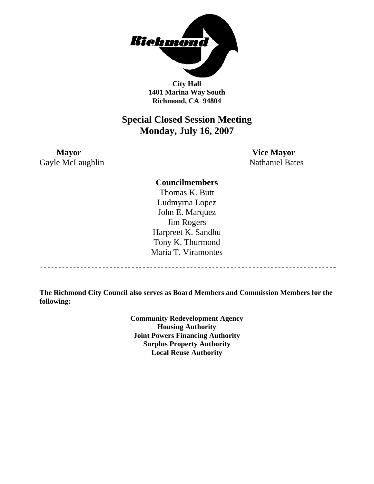

**City Hall 1401 Marina Way South Richmond, CA 94804** 

## **Special Closed Session Meeting Monday, July 16, 2007**

**Mayor Vice Mayor** Gayle McLaughlin Nathaniel Bates

**Councilmembers** 

Thomas K. Butt Ludmyrna Lopez John E. Marquez Jim Rogers Harpreet K. Sandhu Tony K. Thurmond Maria T. Viramontes

**The Richmond City Council also serves as Board Members and Commission Members for the following:** 

> **Community Redevelopment Agency Housing Authority Joint Powers Financing Authority Surplus Property Authority Local Reuse Authority**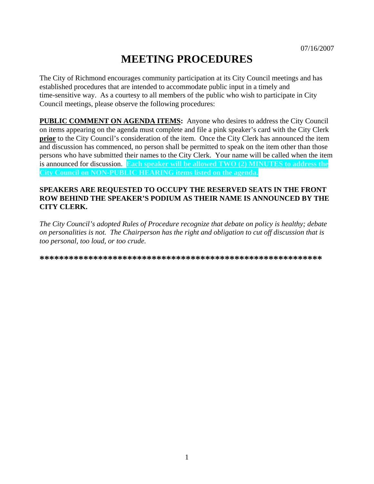# **MEETING PROCEDURES**

The City of Richmond encourages community participation at its City Council meetings and has established procedures that are intended to accommodate public input in a timely and time-sensitive way. As a courtesy to all members of the public who wish to participate in City Council meetings, please observe the following procedures:

**PUBLIC COMMENT ON AGENDA ITEMS:** Anyone who desires to address the City Council on items appearing on the agenda must complete and file a pink speaker's card with the City Clerk **prior** to the City Council's consideration of the item. Once the City Clerk has announced the item and discussion has commenced, no person shall be permitted to speak on the item other than those persons who have submitted their names to the City Clerk. Your name will be called when the item is announced for discussion. **Each speaker will be allowed TWO (2) MINUTES to address the City Council on NON-PUBLIC HEARING items listed on the agenda.** 

#### **SPEAKERS ARE REQUESTED TO OCCUPY THE RESERVED SEATS IN THE FRONT ROW BEHIND THE SPEAKER'S PODIUM AS THEIR NAME IS ANNOUNCED BY THE CITY CLERK.**

*The City Council's adopted Rules of Procedure recognize that debate on policy is healthy; debate on personalities is not. The Chairperson has the right and obligation to cut off discussion that is too personal, too loud, or too crude.* 

**\*\*\*\*\*\*\*\*\*\*\*\*\*\*\*\*\*\*\*\*\*\*\*\*\*\*\*\*\*\*\*\*\*\*\*\*\*\*\*\*\*\*\*\*\*\*\*\*\*\*\*\*\*\*\*\*\*\***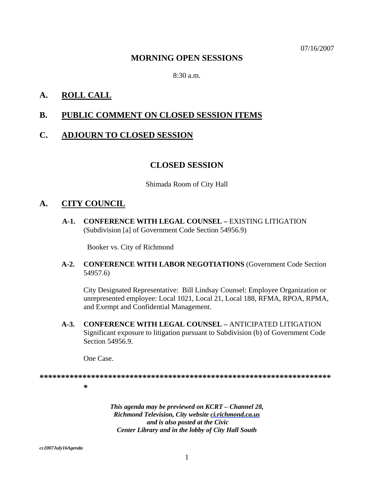07/16/2007

### **MORNING OPEN SESSIONS**

8:30 a.m.

## **A. ROLL CALL**

## **B. PUBLIC COMMENT ON CLOSED SESSION ITEMS**

### **C. ADJOURN TO CLOSED SESSION**

#### **CLOSED SESSION**

Shimada Room of City Hall

### **A. CITY COUNCIL**

**A-1. CONFERENCE WITH LEGAL COUNSEL –** EXISTING LITIGATION (Subdivision [a] of Government Code Section 54956.9)

Booker vs. City of Richmond

#### **A-2. CONFERENCE WITH LABOR NEGOTIATIONS** (Government Code Section 54957.6)

City Designated Representative: Bill Lindsay Counsel: Employee Organization or unrepresented employee: Local 1021, Local 21, Local 188, RFMA, RPOA, RPMA, and Exempt and Confidential Management.

 **A-3. CONFERENCE WITH LEGAL COUNSEL –** ANTICIPATED LITIGATION Significant exposure to litigation pursuant to Subdivision (b) of Government Code Section 54956.9.

One Case.

**\*\*\*\*\*\*\*\*\*\*\*\*\*\*\*\*\*\*\*\*\*\*\*\*\*\*\*\*\*\*\*\*\*\*\*\*\*\*\*\*\*\*\*\*\*\*\*\*\*\*\*\*\*\*\*\*\*\*\*\*\*\*\*\*\*\*\*\***

**\*** 

*This agenda may be previewed on KCRT – Channel 28, Richmond Television, City website ci.richmond.ca.us and is also posted at the Civic Center Library and in the lobby of City Hall South* 

*cc2007July16Agenda*